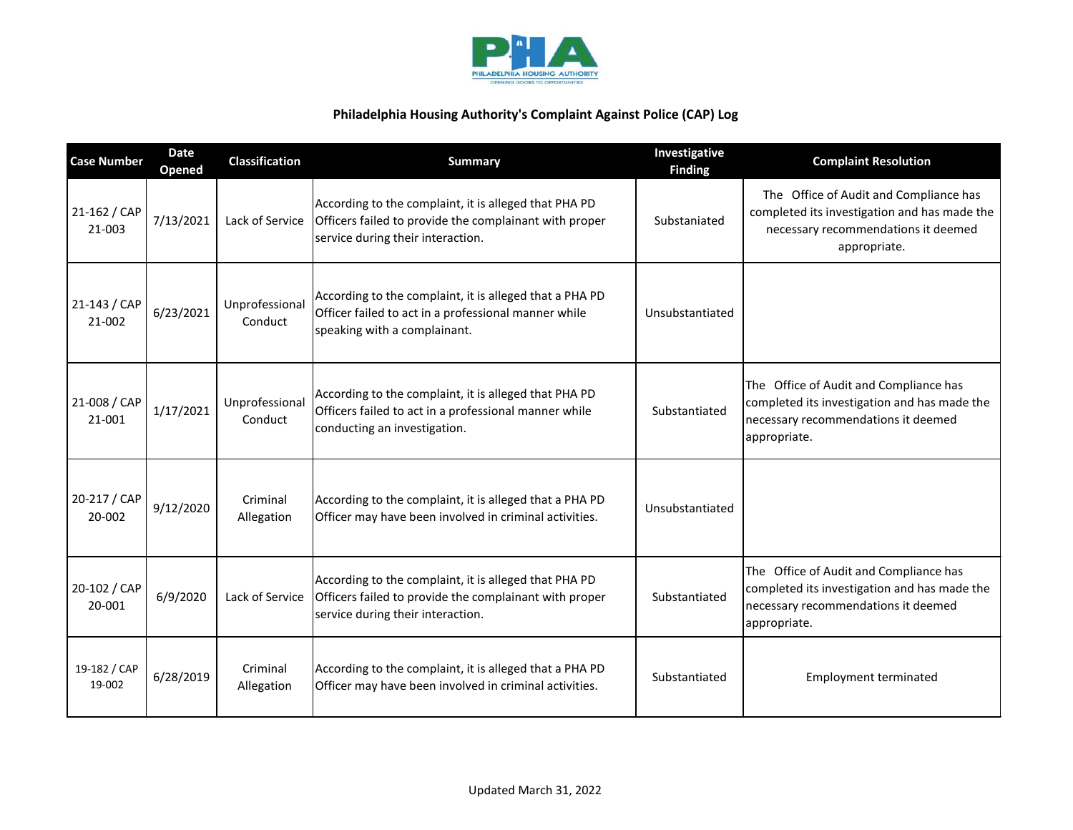

| <b>Case Number</b>     | <b>Date</b><br>Opened | <b>Classification</b>     | <b>Summary</b>                                                                                                                                       | Investigative<br><b>Finding</b> | <b>Complaint Resolution</b>                                                                                                                   |
|------------------------|-----------------------|---------------------------|------------------------------------------------------------------------------------------------------------------------------------------------------|---------------------------------|-----------------------------------------------------------------------------------------------------------------------------------------------|
| 21-162 / CAP<br>21-003 | 7/13/2021             | Lack of Service           | According to the complaint, it is alleged that PHA PD<br>Officers failed to provide the complainant with proper<br>service during their interaction. | Substaniated                    | The Office of Audit and Compliance has<br>completed its investigation and has made the<br>necessary recommendations it deemed<br>appropriate. |
| 21-143 / CAP<br>21-002 | 6/23/2021             | Unprofessional<br>Conduct | According to the complaint, it is alleged that a PHA PD<br>Officer failed to act in a professional manner while<br>speaking with a complainant.      | Unsubstantiated                 |                                                                                                                                               |
| 21-008 / CAP<br>21-001 | 1/17/2021             | Unprofessional<br>Conduct | According to the complaint, it is alleged that PHA PD<br>Officers failed to act in a professional manner while<br>conducting an investigation.       | Substantiated                   | The Office of Audit and Compliance has<br>completed its investigation and has made the<br>necessary recommendations it deemed<br>appropriate. |
| 20-217 / CAP<br>20-002 | 9/12/2020             | Criminal<br>Allegation    | According to the complaint, it is alleged that a PHA PD<br>Officer may have been involved in criminal activities.                                    | Unsubstantiated                 |                                                                                                                                               |
| 20-102 / CAP<br>20-001 | 6/9/2020              | Lack of Service           | According to the complaint, it is alleged that PHA PD<br>Officers failed to provide the complainant with proper<br>service during their interaction. | Substantiated                   | The Office of Audit and Compliance has<br>completed its investigation and has made the<br>necessary recommendations it deemed<br>appropriate. |
| 19-182 / CAP<br>19-002 | 6/28/2019             | Criminal<br>Allegation    | According to the complaint, it is alleged that a PHA PD<br>Officer may have been involved in criminal activities.                                    | Substantiated                   | <b>Employment terminated</b>                                                                                                                  |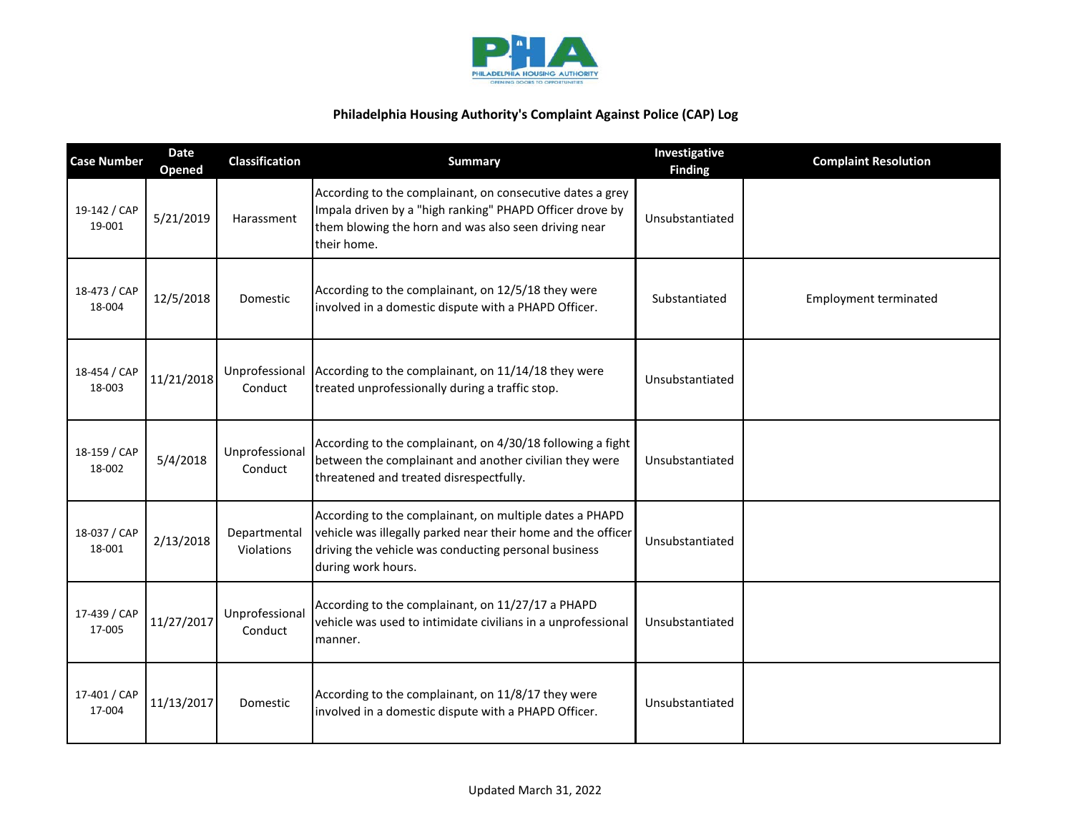

| <b>Case Number</b>     | <b>Date</b><br><b>Opened</b> | <b>Classification</b>      | <b>Summary</b>                                                                                                                                                                                        | Investigative<br><b>Finding</b> | <b>Complaint Resolution</b>  |
|------------------------|------------------------------|----------------------------|-------------------------------------------------------------------------------------------------------------------------------------------------------------------------------------------------------|---------------------------------|------------------------------|
| 19-142 / CAP<br>19-001 | 5/21/2019                    | Harassment                 | According to the complainant, on consecutive dates a grey<br>Impala driven by a "high ranking" PHAPD Officer drove by<br>them blowing the horn and was also seen driving near<br>their home.          | Unsubstantiated                 |                              |
| 18-473 / CAP<br>18-004 | 12/5/2018                    | Domestic                   | According to the complainant, on 12/5/18 they were<br>involved in a domestic dispute with a PHAPD Officer.                                                                                            | Substantiated                   | <b>Employment terminated</b> |
| 18-454 / CAP<br>18-003 | 11/21/2018                   | Unprofessional<br>Conduct  | According to the complainant, on 11/14/18 they were<br>treated unprofessionally during a traffic stop.                                                                                                | Unsubstantiated                 |                              |
| 18-159 / CAP<br>18-002 | 5/4/2018                     | Unprofessional<br>Conduct  | According to the complainant, on 4/30/18 following a fight<br>between the complainant and another civilian they were<br>threatened and treated disrespectfully.                                       | Unsubstantiated                 |                              |
| 18-037 / CAP<br>18-001 | 2/13/2018                    | Departmental<br>Violations | According to the complainant, on multiple dates a PHAPD<br>vehicle was illegally parked near their home and the officer<br>driving the vehicle was conducting personal business<br>during work hours. | Unsubstantiated                 |                              |
| 17-439 / CAP<br>17-005 | 11/27/2017                   | Unprofessional<br>Conduct  | According to the complainant, on 11/27/17 a PHAPD<br>vehicle was used to intimidate civilians in a unprofessional<br>manner.                                                                          | Unsubstantiated                 |                              |
| 17-401 / CAP<br>17-004 | 11/13/2017                   | Domestic                   | According to the complainant, on 11/8/17 they were<br>involved in a domestic dispute with a PHAPD Officer.                                                                                            | Unsubstantiated                 |                              |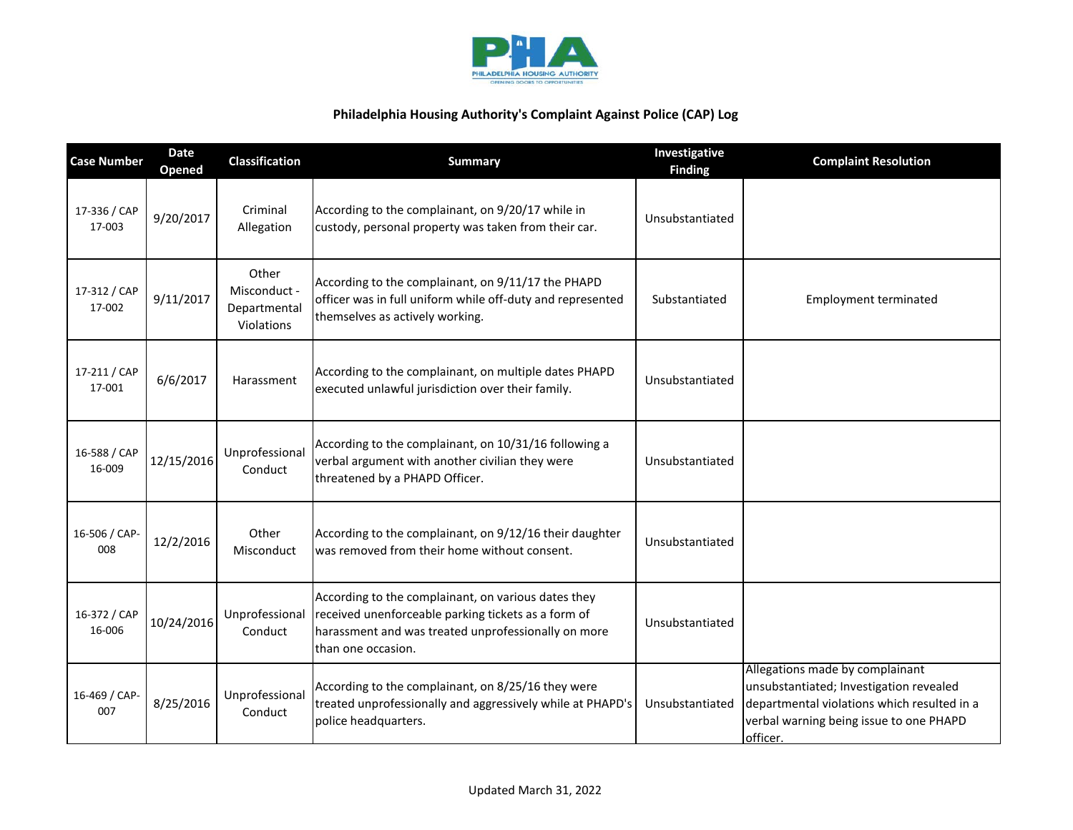

| <b>Case Number</b>     | <b>Date</b><br>Opened | <b>Classification</b>                               | <b>Summary</b>                                                                                                                                                                          | Investigative<br><b>Finding</b> | <b>Complaint Resolution</b>                                                                                                                                                      |
|------------------------|-----------------------|-----------------------------------------------------|-----------------------------------------------------------------------------------------------------------------------------------------------------------------------------------------|---------------------------------|----------------------------------------------------------------------------------------------------------------------------------------------------------------------------------|
| 17-336 / CAP<br>17-003 | 9/20/2017             | Criminal<br>Allegation                              | According to the complainant, on 9/20/17 while in<br>custody, personal property was taken from their car.                                                                               | Unsubstantiated                 |                                                                                                                                                                                  |
| 17-312 / CAP<br>17-002 | 9/11/2017             | Other<br>Misconduct -<br>Departmental<br>Violations | According to the complainant, on 9/11/17 the PHAPD<br>officer was in full uniform while off-duty and represented<br>themselves as actively working.                                     | Substantiated                   | <b>Employment terminated</b>                                                                                                                                                     |
| 17-211 / CAP<br>17-001 | 6/6/2017              | Harassment                                          | According to the complainant, on multiple dates PHAPD<br>executed unlawful jurisdiction over their family.                                                                              | Unsubstantiated                 |                                                                                                                                                                                  |
| 16-588 / CAP<br>16-009 | 12/15/2016            | Unprofessional<br>Conduct                           | According to the complainant, on 10/31/16 following a<br>verbal argument with another civilian they were<br>threatened by a PHAPD Officer.                                              | Unsubstantiated                 |                                                                                                                                                                                  |
| 16-506 / CAP-<br>008   | 12/2/2016             | Other<br>Misconduct                                 | According to the complainant, on 9/12/16 their daughter<br>was removed from their home without consent.                                                                                 | Unsubstantiated                 |                                                                                                                                                                                  |
| 16-372 / CAP<br>16-006 | 10/24/2016            | Unprofessional<br>Conduct                           | According to the complainant, on various dates they<br>received unenforceable parking tickets as a form of<br>harassment and was treated unprofessionally on more<br>than one occasion. | Unsubstantiated                 |                                                                                                                                                                                  |
| 16-469 / CAP-<br>007   | 8/25/2016             | Unprofessional<br>Conduct                           | According to the complainant, on 8/25/16 they were<br>treated unprofessionally and aggressively while at PHAPD's<br>police headquarters.                                                | Unsubstantiated                 | Allegations made by complainant<br>unsubstantiated; Investigation revealed<br>departmental violations which resulted in a<br>verbal warning being issue to one PHAPD<br>officer. |